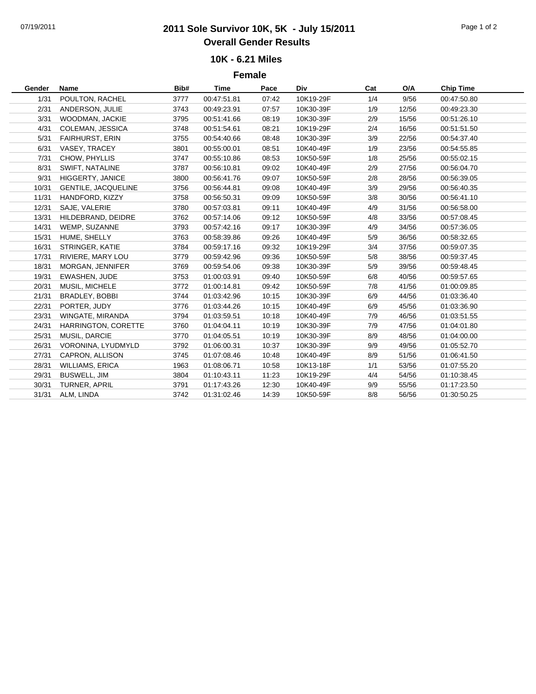## 07/19/2011 **2011 Sole Survivor 10K, 5K - July 15/2011** Page 1 of 2 **Overall Gender Results**

## **10K - 6.21 Miles**

**Female**

| Gender | Name                       | Bib# | Time        | Pace  | Div       | Cat | O/A   | <b>Chip Time</b> |  |
|--------|----------------------------|------|-------------|-------|-----------|-----|-------|------------------|--|
| 1/31   | POULTON, RACHEL            | 3777 | 00:47:51.81 | 07:42 | 10K19-29F | 1/4 | 9/56  | 00:47:50.80      |  |
| 2/31   | ANDERSON, JULIE            | 3743 | 00:49:23.91 | 07:57 | 10K30-39F | 1/9 | 12/56 | 00:49:23.30      |  |
| 3/31   | WOODMAN, JACKIE            | 3795 | 00:51:41.66 | 08:19 | 10K30-39F | 2/9 | 15/56 | 00:51:26.10      |  |
| 4/31   | COLEMAN, JESSICA           | 3748 | 00:51:54.61 | 08:21 | 10K19-29F | 2/4 | 16/56 | 00:51:51.50      |  |
| 5/31   | <b>FAIRHURST, ERIN</b>     | 3755 | 00:54:40.66 | 08:48 | 10K30-39F | 3/9 | 22/56 | 00:54:37.40      |  |
| 6/31   | VASEY, TRACEY              | 3801 | 00:55:00.01 | 08:51 | 10K40-49F | 1/9 | 23/56 | 00:54:55.85      |  |
| 7/31   | CHOW, PHYLLIS              | 3747 | 00:55:10.86 | 08:53 | 10K50-59F | 1/8 | 25/56 | 00:55:02.15      |  |
| 8/31   | SWIFT, NATALINE            | 3787 | 00:56:10.81 | 09:02 | 10K40-49F | 2/9 | 27/56 | 00:56:04.70      |  |
| 9/31   | HIGGERTY, JANICE           | 3800 | 00:56:41.76 | 09:07 | 10K50-59F | 2/8 | 28/56 | 00:56:39.05      |  |
| 10/31  | <b>GENTILE, JACQUELINE</b> | 3756 | 00:56:44.81 | 09:08 | 10K40-49F | 3/9 | 29/56 | 00:56:40.35      |  |
| 11/31  | HANDFORD, KIZZY            | 3758 | 00:56:50.31 | 09:09 | 10K50-59F | 3/8 | 30/56 | 00:56:41.10      |  |
| 12/31  | SAJE, VALERIE              | 3780 | 00:57:03.81 | 09:11 | 10K40-49F | 4/9 | 31/56 | 00:56:58.00      |  |
| 13/31  | HILDEBRAND, DEIDRE         | 3762 | 00:57:14.06 | 09:12 | 10K50-59F | 4/8 | 33/56 | 00:57:08.45      |  |
| 14/31  | WEMP, SUZANNE              | 3793 | 00:57:42.16 | 09:17 | 10K30-39F | 4/9 | 34/56 | 00:57:36.05      |  |
| 15/31  | HUME, SHELLY               | 3763 | 00:58:39.86 | 09:26 | 10K40-49F | 5/9 | 36/56 | 00:58:32.65      |  |
| 16/31  | STRINGER, KATIE            | 3784 | 00:59:17.16 | 09:32 | 10K19-29F | 3/4 | 37/56 | 00:59:07.35      |  |
| 17/31  | RIVIERE, MARY LOU          | 3779 | 00:59:42.96 | 09:36 | 10K50-59F | 5/8 | 38/56 | 00:59:37.45      |  |
| 18/31  | MORGAN, JENNIFER           | 3769 | 00:59:54.06 | 09:38 | 10K30-39F | 5/9 | 39/56 | 00:59:48.45      |  |
| 19/31  | <b>EWASHEN, JUDE</b>       | 3753 | 01:00:03.91 | 09:40 | 10K50-59F | 6/8 | 40/56 | 00:59:57.65      |  |
| 20/31  | MUSIL, MICHELE             | 3772 | 01:00:14.81 | 09:42 | 10K50-59F | 7/8 | 41/56 | 01:00:09.85      |  |
| 21/31  | BRADLEY, BOBBI             | 3744 | 01:03:42.96 | 10:15 | 10K30-39F | 6/9 | 44/56 | 01:03:36.40      |  |
| 22/31  | PORTER, JUDY               | 3776 | 01:03:44.26 | 10:15 | 10K40-49F | 6/9 | 45/56 | 01:03:36.90      |  |
| 23/31  | WINGATE, MIRANDA           | 3794 | 01:03:59.51 | 10:18 | 10K40-49F | 7/9 | 46/56 | 01:03:51.55      |  |
| 24/31  | HARRINGTON, CORETTE        | 3760 | 01:04:04.11 | 10:19 | 10K30-39F | 7/9 | 47/56 | 01:04:01.80      |  |
| 25/31  | MUSIL, DARCIE              | 3770 | 01:04:05.51 | 10:19 | 10K30-39F | 8/9 | 48/56 | 01:04:00.00      |  |
| 26/31  | VORONINA, LYUDMYLD         | 3792 | 01:06:00.31 | 10:37 | 10K30-39F | 9/9 | 49/56 | 01:05:52.70      |  |
| 27/31  | CAPRON, ALLISON            | 3745 | 01:07:08.46 | 10:48 | 10K40-49F | 8/9 | 51/56 | 01:06:41.50      |  |
| 28/31  | <b>WILLIAMS, ERICA</b>     | 1963 | 01:08:06.71 | 10:58 | 10K13-18F | 1/1 | 53/56 | 01:07:55.20      |  |
| 29/31  | <b>BUSWELL, JIM</b>        | 3804 | 01:10:43.11 | 11:23 | 10K19-29F | 4/4 | 54/56 | 01:10:38.45      |  |
| 30/31  | TURNER, APRIL              | 3791 | 01:17:43.26 | 12:30 | 10K40-49F | 9/9 | 55/56 | 01:17:23.50      |  |
| 31/31  | ALM, LINDA                 | 3742 | 01:31:02.46 | 14:39 | 10K50-59F | 8/8 | 56/56 | 01:30:50.25      |  |